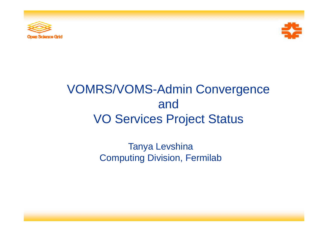



## VOMRS/VOMS-Admin Convergence and VO Services Project Status

Tanya Levshina Computing Division, Fermilab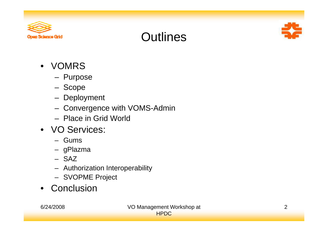

#### **Outlines**



- VOMRS
	- Purpose
	- Scope
	- **Deployment**
	- Convergence with VOMS-Admin
	- Place in Grid World
- VO Services:
	- Gums
	- gPlazma
	- SAZ
	- Authorization Interoperability
	- SVOPME Project
- Conclusion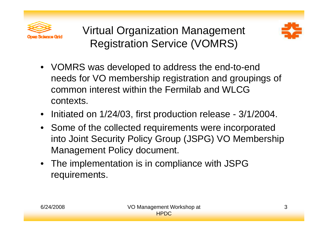

Virtual Organization Management Registration Service (VOMRS)



- VOMRS was developed to address the end-to-end needs for VO membership registration and groupings of common interest within the Fermilab and WLCG contexts.
- Initiated on 1/24/03, first production release - 3/1/2004.
- Some of the collected requirements were incorporated into Joint Security Policy Group (JSPG) VO Membership Management Policy document.
- The implementation is in compliance with JSPG requirements.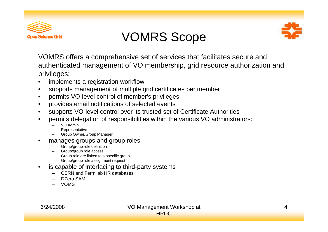

#### VOMRS Scope



VOMRS offers a comprehensive set of services that facilitates secure and authenticated management of VO membership, grid resource authorization and privileges:

- •implements a registration workflow
- •supports management of multiple grid certificates per member
- •permits VO-level control of member's privileges
- •provides email notifications of selected events
- •supports VO-level control over its trusted set of Certificate Authorities
- • permits delegation of responsibilities within the various VO administrators:
	- VO Admin
	- Representative
	- Group Owner/Group Manager
- • manages groups and group roles
	- Group/group role definition
	- Group/group role access
	- Group role are linked to a specific group
	- Group/group role assignment request
- •is capable of interfacing to third-party systems
	- CERN and Fermilab HR databases
	- DZero SAM
	- VOMS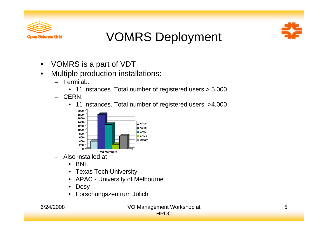

## VOMRS Deployment



- $\bullet$ VOMRS is <sup>a</sup> part of VDT
- $\bullet$  Multiple production installations:
	- Fermilab:
		- 11 instances. Total number of registered users  $> 5,000$
	- CERN:
		- 11 instances. Total number of registered users >4,000



- Also installed at
	- BNL
	- Texas Tech University
	- APAC University of Melbourne
	- •**Desy**
	- Forschungszentrum Jülich



#### 6/24/2008 VO Management Workshop at HPDC

5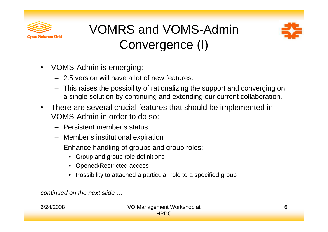

## VOMRS and VOMS-Admin Convergence (I)



- $\bullet$  VOMS-Admin is emerging:
	- 2.5 version will have a lot of new features.
	- –This raises the possibility of rationalizing the support and converging on a single solution by continuing and extending our current collaboration.
- $\bullet$  There are several crucial features that should be implemented in VOMS-Admin in order to do so: . . . . **.** . **. .** . . . . . . . .
	- Persistent member's status
	- Member's institutional expiration
	- Enhance handling of groups and group roles:
		- Group and group role definitions
		- O pened/Restricted access
		- Possibility to attached a particular role to a specified group

*continued on the next slide …*. . . . . . . . . . .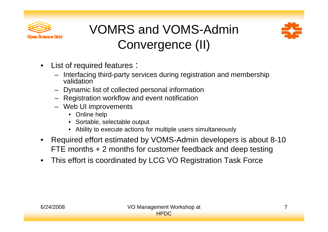

## VOMRS and VOMS-Admin Convergence (II)



- $\bullet$ • List of required features :
	- Interfacing third-party services during registration and membership validation
	- $-$  Dynamic list of collected personal information
	- Registration workflow and event notification
	- Web UI improvements
		- Online help
		- Sortable, selectable output
		- Ability to execute actions for multiple users simultaneously
- •• Required effort estimated by VOMS-Admin developers is about 8-10 FTE months + 2 months for customer feedback and deep testing
- $\bullet$ This effort is coordinated by LCG VO Registration Task Force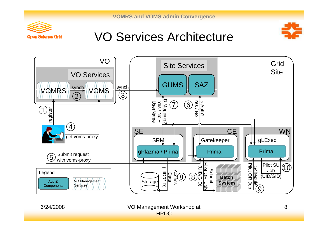**VOMRS and VOMS-admin Convergence**



#### VO Services Architecture





6/24/2008 VO Management Workshop at HPDC

8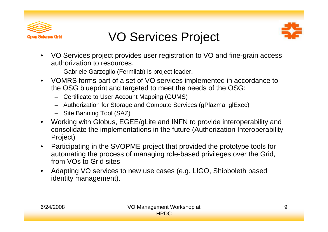

#### VO Services Project



- VO Services project provides user registration to VO and fine-grain access authorization to resources.
	- Gabriele Garzoglio (Fermilab) is project leader.
- $\bullet$  VOMRS forms part of a set of VO services implemented in accordance to the OSG blueprint and targeted to meet the needs of the OSG:
	- Certificate to User Account Mapping (GUMS)
	- Authorization for Storage and Compute Services (gPlazma, glExec)
	- Site Banning Tool (SAZ)
- $\bullet$  Working with Globus, EGEE/gLite and INFN to provide interoperability and consolidate the implementations in the future (Authorization Interoperability Project)
- $\bullet$  Participating in the SVOPME project that provided the prototype tools for automating the process of managing role-based privileges over the Grid, from VOs to Grid sites
- $\bullet$ • Adapting VO services to new use cases (e.g. LIGO, Shibboleth based identity management).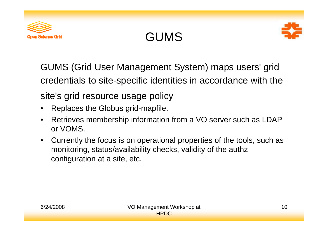





GUMS (Grid User Management System) maps users' grid credentials to site-specific identities in accordance with the site's grid resource usage policy

- •Replaces the Globus grid-mapfile.
- $\bullet$  Retrieves membership information from a VO server such as LDAP or VOMS.
- $\bullet$  Currently the focus is on operational properties of the tools, such as monitoring, status/availability checks, validity of the authz configuration at a site, etc.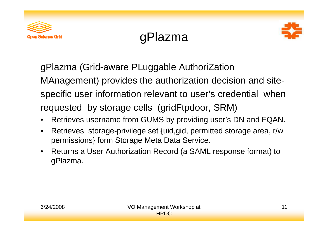

## gPlazma



gPlazma (Grid-aware PLuggable AuthoriZation MAnagement) provides the authorization decision and sitespecific user information relevant to user's credential when requested by storage cells (gridFtpdoor, SRM)

- $\bullet$ Retrieves username from GUMS by providing user's DN and FQAN.
- • Retrieves storage-privilege set {uid,gid, permitted storage area, r/w permissions} form Storage Meta Data Service.
- $\bullet$  Returns a User Authorization Record (a SAML response format) to gPlazma.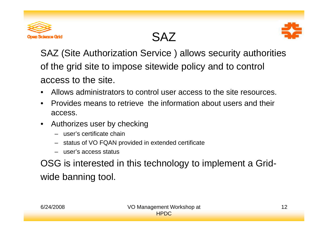

## SAZ



SAZ (Site Authorization Service ) allows security authorities of the grid site to impose sitewide policy and to control access to the site.

- •• Allows administrators to control user access to the site resources.
- • Provides means to retrieve the information about users and their access.
- $\bullet$  Authorizes user by checking
	- user's certificate chain
	- status of VO FQAN provided in extended certificate
	- user's access status

OSG is interested in this technology to implement a Gridwide banning tool.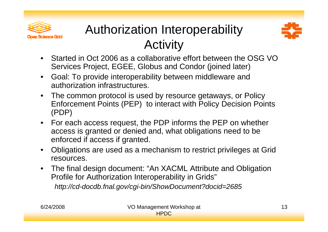

# Authorization Interoperability Activity



- Started in Oct 2006 as a collaborative effort between the OSG VO Services Project, EGEE, Globus and Condor (joined later)
- $\bullet$  Goal: To provide interoperability between middleware and authorization infrastructures.
- $\bullet$  The common protocol is used by resource getaways, or Policy Enforcement Points (PEP) to interact with Policy Decision Points (PDP)
- For each access request, the PDP informs the PEP on whether access is granted or denied and, what obligations need to be enforced if access if granted.
- $\bullet$  Obligations are used as a mechanism to restrict privileges at Grid resources.
- The final design document: "An XACML Attribute and Obligation Profile for Authorization Interoperability in Grids" *http://cd-docdb.fnal.gov/cgi-bin/ShowDocument?docid=2685*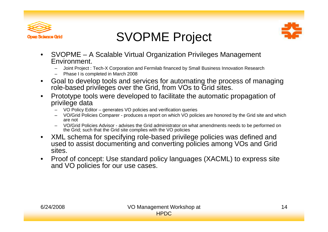



### SVOPME Project

- $\bullet$  SVOPME – A Scalable Virtual Organization Privileges Management Environment.
	- Joint Project : Tech-X Corporation and Fermilab financed by Small Business Innovation Research
	- Phase I is completed in March 2008
- $\bullet$  Goal to develop tools and services for automating the process of managing role-based privileges over the Grid, from VOs to Grid sites.
- $\bullet$  Prototype tools were developed to facilitate the automatic propagation of privilege data
	- VO Policy Editor generates VO policies and verification queries
	- VO/Grid Policies Comparer - produces <sup>a</sup> report on which VO policies are honored by the Grid site and which are not
	- VO/Grid Policies Advisor advises the Grid administrator on what amendments needs to be performed on the Grid; such that the Grid site complies with the VO policies
- $\bullet$  XML schema for specifying role-based privilege policies was defined and used to assist documenting and converting policies among VOs and Grid sites.
- $\bullet$  Proof of concept: Use standard policy languages (XACML) to express site and VO policies for our use cases.